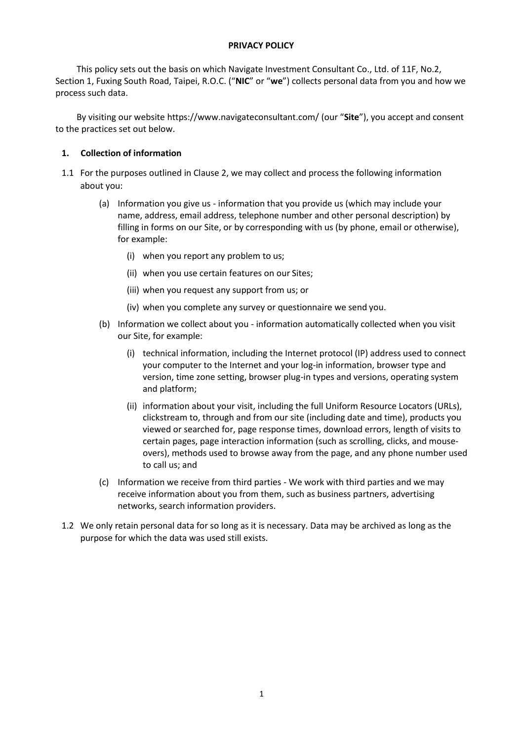## **PRIVACY POLICY**

This policy sets out the basis on which Navigate Investment Consultant Co., Ltd. of 11F, No.2, Section 1, Fuxing South Road, Taipei, R.O.C. ("**NIC**" or "**we**") collects personal data from you and how we process such data.

By visiting our website https://www.navigateconsultant.com/ (our "**Site**"), you accept and consent to the practices set out below.

# **1. Collection of information**

- 1.1 For the purposes outlined in Clause 2, we may collect and process the following information about you:
	- (a) Information you give us information that you provide us (which may include your name, address, email address, telephone number and other personal description) by filling in forms on our Site, or by corresponding with us (by phone, email or otherwise), for example:
		- (i) when you report any problem to us;
		- (ii) when you use certain features on our Sites;
		- (iii) when you request any support from us; or
		- (iv) when you complete any survey or questionnaire we send you.
	- (b) Information we collect about you information automatically collected when you visit our Site, for example:
		- (i) technical information, including the Internet protocol (IP) address used to connect your computer to the Internet and your log-in information, browser type and version, time zone setting, browser plug-in types and versions, operating system and platform;
		- (ii) information about your visit, including the full Uniform Resource Locators (URLs), clickstream to, through and from our site (including date and time), products you viewed or searched for, page response times, download errors, length of visits to certain pages, page interaction information (such as scrolling, clicks, and mouseovers), methods used to browse away from the page, and any phone number used to call us; and
	- (c) Information we receive from third parties We work with third parties and we may receive information about you from them, such as business partners, advertising networks, search information providers.
- 1.2 We only retain personal data for so long as it is necessary. Data may be archived as long as the purpose for which the data was used still exists.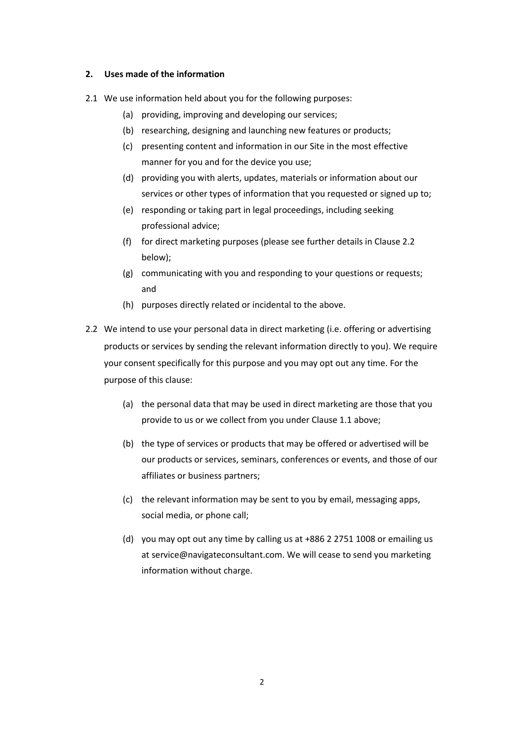### **2. Uses made of the information**

- 2.1 We use information held about you for the following purposes:
	- (a) providing, improving and developing our services;
	- (b) researching, designing and launching new features or products;
	- (c) presenting content and information in our Site in the most effective manner for you and for the device you use;
	- (d) providing you with alerts, updates, materials or information about our services or other types of information that you requested or signed up to;
	- (e) responding or taking part in legal proceedings, including seeking professional advice;
	- (f) for direct marketing purposes (please see further details in Clause 2.2 below);
	- (g) communicating with you and responding to your questions or requests; and
	- (h) purposes directly related or incidental to the above.
- 2.2 We intend to use your personal data in direct marketing (i.e. offering or advertising products or services by sending the relevant information directly to you). We require your consent specifically for this purpose and you may opt out any time. For the purpose of this clause:
	- (a) the personal data that may be used in direct marketing are those that you provide to us or we collect from you under Clause 1.1 above;
	- (b) the type of services or products that may be offered or advertised will be our products or services, seminars, conferences or events, and those of our affiliates or business partners;
	- (c) the relevant information may be sent to you by email, messaging apps, social media, or phone call;
	- (d) you may opt out any time by calling us at +886 2 2751 1008 or emailing us at service@navigateconsultant.com. We will cease to send you marketing information without charge.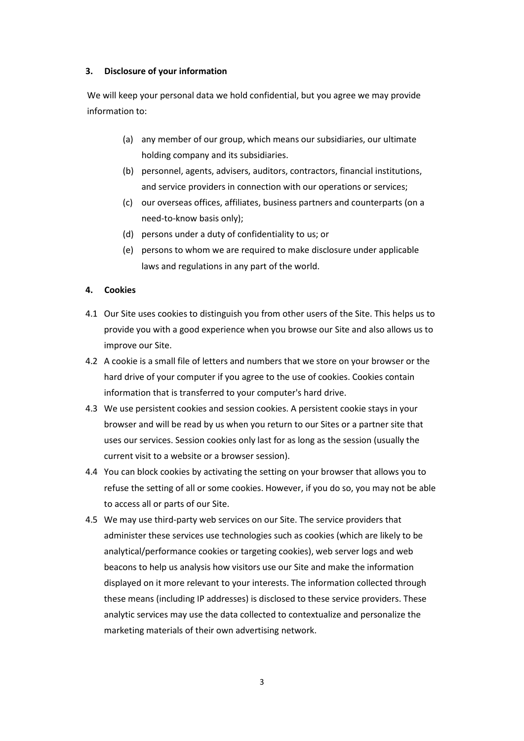### **3. Disclosure of your information**

We will keep your personal data we hold confidential, but you agree we may provide information to:

- (a) any member of our group, which means our subsidiaries, our ultimate holding company and its subsidiaries.
- (b) personnel, agents, advisers, auditors, contractors, financial institutions, and service providers in connection with our operations or services;
- (c) our overseas offices, affiliates, business partners and counterparts (on a need-to-know basis only);
- (d) persons under a duty of confidentiality to us; or
- (e) persons to whom we are required to make disclosure under applicable laws and regulations in any part of the world.

### **4. Cookies**

- 4.1 Our Site uses cookies to distinguish you from other users of the Site. This helps us to provide you with a good experience when you browse our Site and also allows us to improve our Site.
- 4.2 A cookie is a small file of letters and numbers that we store on your browser or the hard drive of your computer if you agree to the use of cookies. Cookies contain information that is transferred to your computer's hard drive.
- 4.3 We use persistent cookies and session cookies. A persistent cookie stays in your browser and will be read by us when you return to our Sites or a partner site that uses our services. Session cookies only last for as long as the session (usually the current visit to a website or a browser session).
- 4.4 You can block cookies by activating the setting on your browser that allows you to refuse the setting of all or some cookies. However, if you do so, you may not be able to access all or parts of our Site.
- 4.5 We may use third-party web services on our Site. The service providers that administer these services use technologies such as cookies (which are likely to be analytical/performance cookies or targeting cookies), web server logs and web beacons to help us analysis how visitors use our Site and make the information displayed on it more relevant to your interests. The information collected through these means (including IP addresses) is disclosed to these service providers. These analytic services may use the data collected to contextualize and personalize the marketing materials of their own advertising network.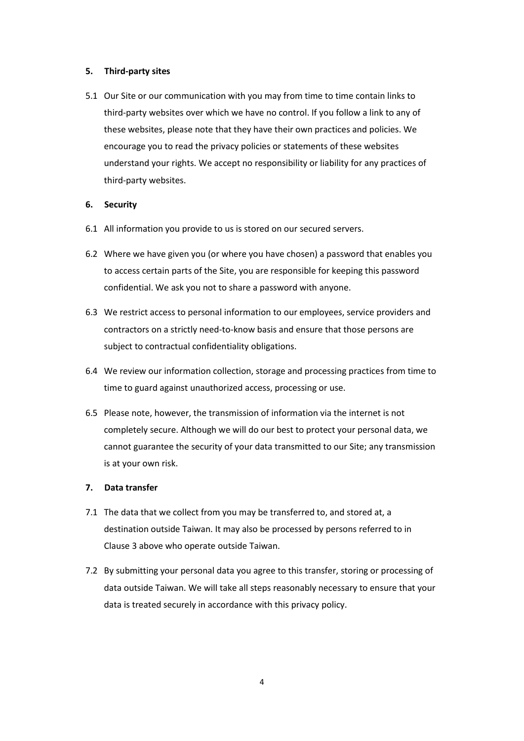### **5. Third-party sites**

5.1 Our Site or our communication with you may from time to time contain links to third-party websites over which we have no control. If you follow a link to any of these websites, please note that they have their own practices and policies. We encourage you to read the privacy policies or statements of these websites understand your rights. We accept no responsibility or liability for any practices of third-party websites.

#### **6. Security**

- 6.1 All information you provide to us is stored on our secured servers.
- 6.2 Where we have given you (or where you have chosen) a password that enables you to access certain parts of the Site, you are responsible for keeping this password confidential. We ask you not to share a password with anyone.
- 6.3 We restrict access to personal information to our employees, service providers and contractors on a strictly need-to-know basis and ensure that those persons are subject to contractual confidentiality obligations.
- 6.4 We review our information collection, storage and processing practices from time to time to guard against unauthorized access, processing or use.
- 6.5 Please note, however, the transmission of information via the internet is not completely secure. Although we will do our best to protect your personal data, we cannot guarantee the security of your data transmitted to our Site; any transmission is at your own risk.

### **7. Data transfer**

- 7.1 The data that we collect from you may be transferred to, and stored at, a destination outside Taiwan. It may also be processed by persons referred to in Clause 3 above who operate outside Taiwan.
- 7.2 By submitting your personal data you agree to this transfer, storing or processing of data outside Taiwan. We will take all steps reasonably necessary to ensure that your data is treated securely in accordance with this privacy policy.